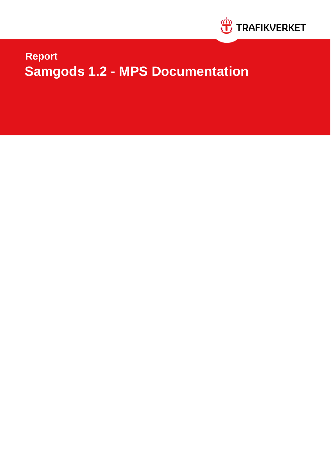

# **Samgods 1.2 - MPS Documentation Report**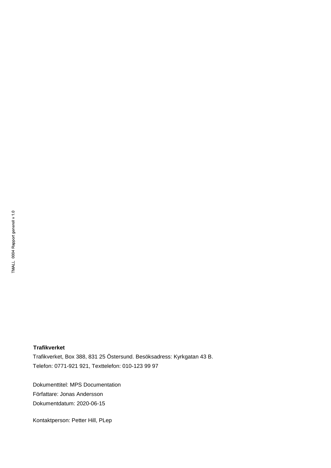#### **Trafikverket**

Trafikverket, Box 388, 831 25 Östersund. Besöksadress: Kyrkgatan 43 B. Telefon: 0771-921 921, Texttelefon: 010-123 99 97

Dokumenttitel: MPS Documentation Författare: Jonas Andersson Dokumentdatum: 2020-06-15

Kontaktperson: Petter Hill, PLep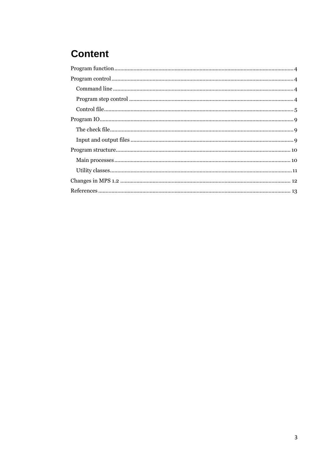# **Content**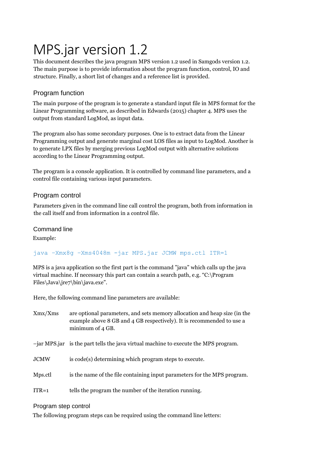# MPS.jar version 1.2

This document describes the java program MPS version 1.2 used in Samgods version 1.2. The main purpose is to provide information about the program function, control, IO and structure. Finally, a short list of changes and a reference list is provided.

# <span id="page-3-0"></span>Program function

The main purpose of the program is to generate a standard input file in MPS format for the Linear Programming software, as described in Edwards (2015) chapter 4. MPS uses the output from standard LogMod, as input data.

The program also has some secondary purposes. One is to extract data from the Linear Programming output and generate marginal cost LOS files as input to LogMod. Another is to generate LPX files by merging previous LogMod output with alternative solutions according to the Linear Programming output.

The program is a console application. It is controlled by command line parameters, and a control file containing various input parameters.

# <span id="page-3-1"></span>Program control

Parameters given in the command line call control the program, both from information in the call itself and from information in a control file.

<span id="page-3-2"></span>Command line

Example:

# java –Xmx8g –Xms4048m -jar MPS.jar JCMW mps.ctl ITR=1

MPS is a java application so the first part is the command "java" which calls up the java virtual machine. If necessary this part can contain a search path, e.g. "C:\Program Files\Java\jre7\bin\java.exe".

Here, the following command line parameters are available:

| Xmx/Xms     | are optional parameters, and sets memory allocation and heap size (in the<br>example above 8 GB and 4 GB respectively). It is recommended to use a<br>minimum of 4 GB. |
|-------------|------------------------------------------------------------------------------------------------------------------------------------------------------------------------|
|             | $-jar MPS$ , is the part tells the java virtual machine to execute the MPS program.                                                                                    |
| <b>JCMW</b> | is code(s) determining which program steps to execute.                                                                                                                 |
| Mps.ctl     | is the name of the file containing input parameters for the MPS program.                                                                                               |
| $ITR=1$     | tells the program the number of the iteration running.                                                                                                                 |
|             |                                                                                                                                                                        |

#### <span id="page-3-3"></span>Program step control

The following program steps can be required using the command line letters: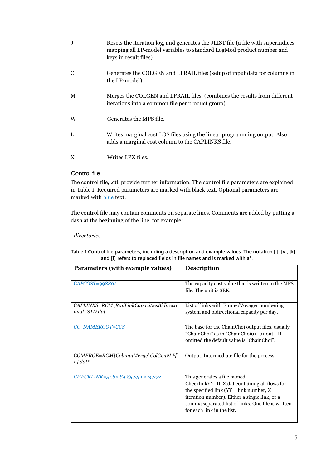| J, | Resets the iteration log, and generates the JLIST file (a file with superindices<br>mapping all LP-model variables to standard LogMod product number and<br>keys in result files) |
|----|-----------------------------------------------------------------------------------------------------------------------------------------------------------------------------------|
| C  | Generates the COLGEN and LPRAIL files (setup of input data for columns in<br>the LP-model).                                                                                       |
| M  | Merges the COLGEN and LPRAIL files. (combines the results from different<br>iterations into a common file per product group).                                                     |
| W  | Generates the MPS file.                                                                                                                                                           |
| L  | Writes marginal cost LOS files using the linear programming output. Also<br>adds a marginal cost column to the CAPLINKS file.                                                     |
| X  | Writes LPX files.                                                                                                                                                                 |

#### <span id="page-4-0"></span>Control file

The control file, .ctl, provide further information. The control file parameters are explained i[n Table 1.](#page-4-1) Required parameters are marked with black text. Optional parameters are marked with blue text.

The control file may contain comments on separate lines. Comments are added by putting a dash at the beginning of the line, for example:

*- directories*

<span id="page-4-1"></span>**Table 1 Control file parameters, including a description and example values. The notation [i], [v], [k] and [f] refers to replaced fields in file names and is marked with a\*.**

| Parameters (with example values)                         | <b>Description</b>                                                                                                                                                                                                                                                  |
|----------------------------------------------------------|---------------------------------------------------------------------------------------------------------------------------------------------------------------------------------------------------------------------------------------------------------------------|
| $CAPCOST=998801$                                         | The capacity cost value that is written to the MPS<br>file. The unit is SEK.                                                                                                                                                                                        |
| CAPLINKS=RCM\RailLinkCapacitiesBidirecti<br>onal STD.dat | List of links with Emme/Voyager numbering<br>system and bidirectional capacity per day.                                                                                                                                                                             |
| CC NAMEROOT=CCS                                          | The base for the ChainChoi output files, usually<br>"ChainChoi" as in "ChainChoio1 01.out". If<br>omitted the default value is "ChainChoi".                                                                                                                         |
| CGMERGE=RCM\ColumnMerge\ColGen2LP[<br>$v$ ].dat*         | Output. Intermediate file for the process.                                                                                                                                                                                                                          |
| CHECKLINK=51,82,84,85,234,274,272                        | This generates a file named<br>ChecklinkYY_ItrX.dat containing all flows for<br>the specified link ( $YY = link$ number, $X =$<br>iteration number). Either a single link, or a<br>comma separated list of links. One file is written<br>for each link in the list. |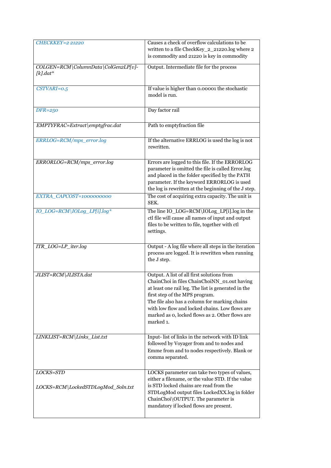| <b>CHECKKEY=2 21220</b>                            | Causes a check of overflow calculations to be<br>written to a file CheckKey_2_21220.log where 2<br>is commodity and 21220 is key in commodity                                                                                                                                                                                                          |
|----------------------------------------------------|--------------------------------------------------------------------------------------------------------------------------------------------------------------------------------------------------------------------------------------------------------------------------------------------------------------------------------------------------------|
| COLGEN=RCM\ColumnData\ColGen2LP[v]-<br>$[k]$ .dat* | Output. Intermediate file for the process                                                                                                                                                                                                                                                                                                              |
| $CSTVARI = 0.5$                                    | If value is higher than 0.00001 the stochastic<br>model is run.                                                                                                                                                                                                                                                                                        |
| $DFR = 250$                                        | Day factor rail                                                                                                                                                                                                                                                                                                                                        |
| EMPTYFRAC=Extract\emptyfrac.dat                    | Path to emptyfraction file                                                                                                                                                                                                                                                                                                                             |
| ERRLOG=RCM/mps_error.log                           | If the alternative ERRLOG is used the log is not<br>rewritten.                                                                                                                                                                                                                                                                                         |
| ERRORLOG=RCM/mps_error.log                         | Errors are logged to this file. If the ERRORLOG<br>parameter is omitted the file is called Error.log<br>and placed in the folder specified by the PATH<br>parameter. If the keyword ERRORLOG is used<br>the log is rewritten at the beginning of the J step.                                                                                           |
| EXTRA_CAPCOST=1000000000                           | The cost of acquiring extra capacity. The unit is<br>SEK.                                                                                                                                                                                                                                                                                              |
| IO_LOG=RCM\IOLog_LP[i].log*                        | The line IO_LOG=RCM\IOLog_LP[i].log in the<br>ctl file will cause all names of input and output<br>files to be written to file, together with ctl<br>settings.                                                                                                                                                                                         |
| ITR_LOG=LP_iter.log                                | Output - A log file where all steps in the iteration<br>process are logged. It is rewritten when running<br>the J step.                                                                                                                                                                                                                                |
| JLIST=RCM\JLISTA.dat                               | Output. A list of all first solutions from<br>ChainChoi in files ChainChoiNN_01.out having<br>at least one rail leg. The list is generated in the<br>first step of the MPS program.<br>The file also has a column for marking chains<br>with low flow and locked chains. Low flows are<br>marked as 0, locked flows as 2. Other flows are<br>marked 1. |
| LINKLIST=RCM\Links_List.txt                        | Input-list of links in the network with ID link<br>followed by Voyager from and to nodes and<br>Emme from and to nodes respectively. Blank or<br>comma separated.                                                                                                                                                                                      |
| LOCKS=STD<br>LOCKS=RCM\LockedSTDLogMod_Soln.txt    | LOCKS parameter can take two types of values,<br>either a filename, or the value STD. If the value<br>is STD locked chains are read from the<br>STDLogMod output files LockedXX.log in folder<br>ChainChoi\OUTPUT. The parameter is<br>mandatory if locked flows are present.                                                                          |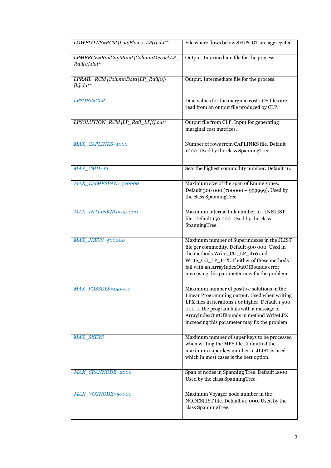| LOWFLOWS=RCM\LowFlows_LP[i].dat*                    | File where flows below SHIPCUT are aggregated.                                                                                                                                                                                                                                                 |
|-----------------------------------------------------|------------------------------------------------------------------------------------------------------------------------------------------------------------------------------------------------------------------------------------------------------------------------------------------------|
| LPMERGE=RailCapMgmt\ColumnMerge\LP_<br>Rail[v].dat* | Output. Intermediate file for the process.                                                                                                                                                                                                                                                     |
| LPRAIL=RCM\ColumnData\LP_Rail[v]-<br>$[k]$ .dat*    | Output. Intermediate file for the process.                                                                                                                                                                                                                                                     |
| LPSOFT=CLP                                          | Dual values for the marginal cost LOS files are<br>read from an output file produced by CLP.                                                                                                                                                                                                   |
| LPSOLUTION=RCM\LP_Rail_LP[i].out*                   | Output file from CLP. Input for generating<br>marginal cost matrices.                                                                                                                                                                                                                          |
| <b>MAX CAPLINKS=1000</b>                            | Number of rows from CAPLINKS file. Default<br>1000. Used by the class SpanningTree.                                                                                                                                                                                                            |
| MAX_CMD=16                                          | Sets the highest commodity number. Default 16.                                                                                                                                                                                                                                                 |
| MAX_EMMESPAN=300000                                 | Maximum size of the span of Emme zones.<br>Default 300 000 (700000 - 999999). Used by<br>the class SpanningTree.                                                                                                                                                                               |
| MAX_INTLINKNO=150000                                | Maximum internal link number in LINKLIST<br>file. Default 150 000. Used by the class<br>SpanningTree.                                                                                                                                                                                          |
| MAX_JKEYS=500000                                    | Maximum number of Superindexes in the JLIST<br>file per commodity. Default 500 000. Used in<br>the methods Write_CG_LP_Itro and<br>Write_CG_LP_ItrX. If either of these methods<br>fail with an ArrayIndexOutOfBounds error<br>increasing this parameter may fix the problem.                  |
| MAX_POSSOLS=150000                                  | Maximum number of positive solutions in the<br>Linear Programming output. Used when writing<br>LPX files in iterations 1 or higher. Default 1 500<br>000. If the program fails with a message of<br>ArrayIndexOutOfBounds in method WriteLPX<br>increasing this parameter may fix the problem. |
| <b>MAX SKEYS</b>                                    | Maximum number of super keys to be processed<br>when writing the MPS file. If omitted the<br>maximum super key number in JLIST is used<br>which in most cases is the best option.                                                                                                              |
| MAX_SPANNODE=2000                                   | Span of nodes in Spanning Tree. Default 2000.<br>Used by the class SpanningTree.                                                                                                                                                                                                               |
| MAX_VOYNODE=50000                                   | Maximum Voyager node number in the<br>NODESLIST file. Default 50 000. Used by the<br>class SpanningTree.                                                                                                                                                                                       |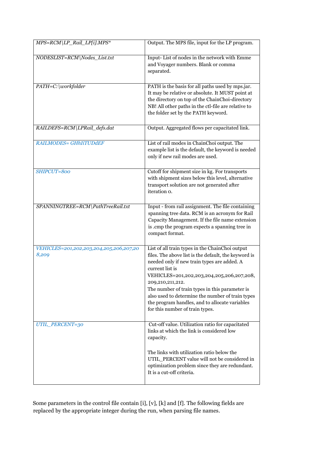| MPS=RCM\LP_Rail_LP[i].MPS*                       | Output. The MPS file, input for the LP program.                                                                                                                                                                                                                                                                                                                                                                                       |
|--------------------------------------------------|---------------------------------------------------------------------------------------------------------------------------------------------------------------------------------------------------------------------------------------------------------------------------------------------------------------------------------------------------------------------------------------------------------------------------------------|
| NODESLIST=RCM\Nodes List.txt                     | Input-List of nodes in the network with Emme<br>and Voyager numbers. Blank or comma<br>separated.                                                                                                                                                                                                                                                                                                                                     |
| PATH=C:\workfolder                               | PATH is the basis for all paths used by mps.jar.<br>It may be relative or absolute. It MUST point at<br>the directory on top of the ChainChoi-directory<br>NB! All other paths in the ctl-file are relative to<br>the folder set by the PATH keyword.                                                                                                                                                                                 |
| RAILDEFS=RCM\LPRail_defs.dat                     | Output. Aggregated flows per capacitated link.                                                                                                                                                                                                                                                                                                                                                                                        |
| <b>RAILMODES= GHhIiTUDdEF</b>                    | List of rail modes in ChainChoi output. The<br>example list is the default, the keyword is needed<br>only if new rail modes are used.                                                                                                                                                                                                                                                                                                 |
| SHIPCUT=800                                      | Cutoff for shipment size in kg. For transports<br>with shipment sizes below this level, alternative<br>transport solution are not generated after<br>iteration o.                                                                                                                                                                                                                                                                     |
| SPANNINGTREE=RCM\PathTreeRail.txt                | Input - from rail assignment. The file containing<br>spanning tree data. RCM is an acronym for Rail<br>Capacity Management. If the file name extension<br>is .cmp the program expects a spanning tree in<br>compact format.                                                                                                                                                                                                           |
| VEHICLES=201,202,203,204,205,206,207,20<br>8,209 | List of all train types in the ChainChoi output<br>files. The above list is the default, the keyword is<br>needed only if new train types are added. A<br>current list is<br>VEHICLES=201,202,203,204,205,206,207,208,<br>209,210,211,212.<br>The number of train types in this parameter is<br>also used to determine the number of train types<br>the program handles, and to allocate variables<br>for this number of train types. |
| UTIL_PERCENT=30                                  | Cut-off value. Utilization ratio for capacitated<br>links at which the link is considered low<br>capacity.<br>The links with utilization ratio below the<br>UTIL PERCENT value will not be considered in<br>optimization problem since they are redundant.<br>It is a cut-off criteria.                                                                                                                                               |

Some parameters in the control file contain [i], [v], [k] and [f]. The following fields are replaced by the appropriate integer during the run, when parsing file names.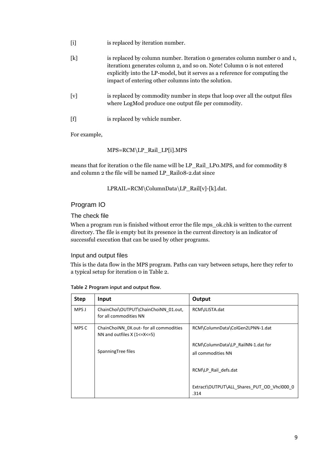| $\lceil i \rceil$ | is replaced by iteration number.                                                                                                                                                                                                                                                            |
|-------------------|---------------------------------------------------------------------------------------------------------------------------------------------------------------------------------------------------------------------------------------------------------------------------------------------|
| $\lceil k \rceil$ | is replaced by column number. Iteration o generates column number o and 1,<br>iteration generates column 2, and so on. Note! Column o is not entered<br>explicitly into the LP-model, but it serves as a reference for computing the<br>impact of entering other columns into the solution. |
| [v]               | is replaced by commodity number in steps that loop over all the output files<br>where LogMod produce one output file per commodity.                                                                                                                                                         |
| [f]               | is replaced by vehicle number.                                                                                                                                                                                                                                                              |

For example,

MPS=RCM\LP\_Rail\_LP[i].MPS

means that for iteration 0 the file name will be LP\_Rail\_LP0.MPS, and for commodity 8 and column 2 the file will be named LP\_Rail08-2.dat since

LPRAIL=RCM\ColumnData\LP\_Rail[v]-[k].dat.

# <span id="page-8-0"></span>Program IO

<span id="page-8-1"></span>The check file

When a program run is finished without error the file mps\_ok.chk is written to the current directory. The file is empty but its presence in the current directory is an indicator of successful execution that can be used by other programs.

### <span id="page-8-2"></span>Input and output files

This is the data flow in the MPS program. Paths can vary between setups, here they refer to a typical setup for iteration 0 i[n Table 2.](#page-8-3)

| <b>Step</b> | Input                                                                           | Output                                                   |
|-------------|---------------------------------------------------------------------------------|----------------------------------------------------------|
| MPS J       | ChainChoi\OUTPUT\ChainChoiNN_01.out,<br>for all commodities NN                  | RCM\JLISTA.dat                                           |
| MPS C       | ChainChoiNN_0X.out- for all commodities<br>NN and outfiles $X$ (1 <= $X$ < = 5) | RCM\ColumnData\ColGen2LPNN-1.dat                         |
|             | SpanningTree files                                                              | RCM\ColumnData\LP RailNN-1.dat for<br>all commodities NN |
|             |                                                                                 | RCM\LP_Rail_defs.dat                                     |
|             |                                                                                 | Extract\OUTPUT\ALL Shares PUT OD Vhcl000 0<br>.314       |

<span id="page-8-3"></span>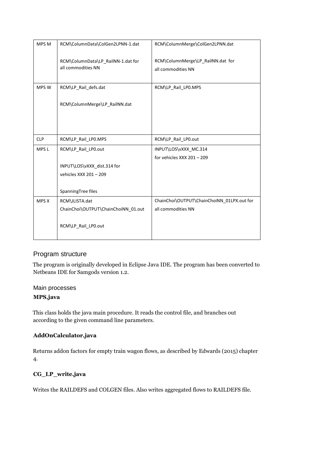| MPS M            | RCM\ColumnData\ColGen2LPNN-1.dat                         | RCM\ColumnMerge\ColGen2LPNN.dat                         |
|------------------|----------------------------------------------------------|---------------------------------------------------------|
|                  | RCM\ColumnData\LP_RailNN-1.dat for<br>all commodities NN | RCM\ColumnMerge\LP RailNN.dat for<br>all commodities NN |
| MPS W            | RCM\LP_Rail_defs.dat                                     | RCM\LP_Rail_LP0.MPS                                     |
|                  | RCM\ColumnMerge\LP RailNN.dat                            |                                                         |
|                  |                                                          |                                                         |
| <b>CLP</b>       | RCM\LP_Rail_LP0.MPS                                      | RCM\LP_Rail_LP0.out                                     |
| MPS <sub>L</sub> | RCM\LP Rail LP0.out                                      | INPUT\LOS\vXXX MC.314                                   |
|                  |                                                          | for vehicles XXX $201 - 209$                            |
|                  | INPUT\LOS\vXXX dist.314 for                              |                                                         |
|                  | vehicles XXX 201 - 209                                   |                                                         |
|                  | SpanningTree files                                       |                                                         |
|                  |                                                          |                                                         |
| MPS X            | RCM\JLISTA.dat                                           | ChainChoi\OUTPUT\ChainChoiNN_01LPX.out for              |
|                  | ChainChoi\OUTPUT\ChainChoiNN 01.out                      | all commodities NN                                      |
|                  | RCM\LP_Rail_LP0.out                                      |                                                         |

#### <span id="page-9-0"></span>Program structure

The program is originally developed in Eclipse Java IDE. The program has been converted to Netbeans IDE for Samgods version 1.2.

### <span id="page-9-1"></span>Main processes **MPS.java**

This class holds the java main procedure. It reads the control file, and branches out according to the given command line parameters.

#### **AddOnCalculator.java**

Returns addon factors for empty train wagon flows, as described by Edwards (2015) chapter 4.

#### **CG\_LP\_write.java**

Writes the RAILDEFS and COLGEN files. Also writes aggregated flows to RAILDEFS file.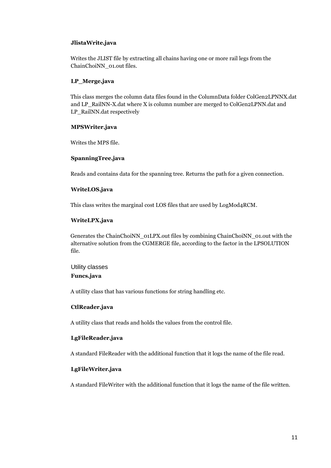#### **JlistaWrite.java**

Writes the JLIST file by extracting all chains having one or more rail legs from the ChainChoiNN\_01.out files.

#### **LP\_Merge.java**

This class merges the column data files found in the ColumnData folder ColGen2LPNNX.dat and LP\_RailNN-X.dat where X is column number are merged to ColGen2LPNN.dat and LP\_RailNN.dat respectively

#### **MPSWriter.java**

Writes the MPS file.

#### **SpanningTree.java**

Reads and contains data for the spanning tree. Returns the path for a given connection.

#### **WriteLOS.java**

This class writes the marginal cost LOS files that are used by LogMod4RCM.

#### **WriteLPX.java**

Generates the ChainChoiNN\_01LPX.out files by combining ChainChoiNN\_01.out with the alternative solution from the CGMERGE file, according to the factor in the LPSOLUTION file.

<span id="page-10-0"></span>Utility classes **Funcs.java** 

A utility class that has various functions for string handling etc.

#### **CtlReader.java**

A utility class that reads and holds the values from the control file.

#### **LgFileReader.java**

A standard FileReader with the additional function that it logs the name of the file read.

#### **LgFileWriter.java**

A standard FileWriter with the additional function that it logs the name of the file written.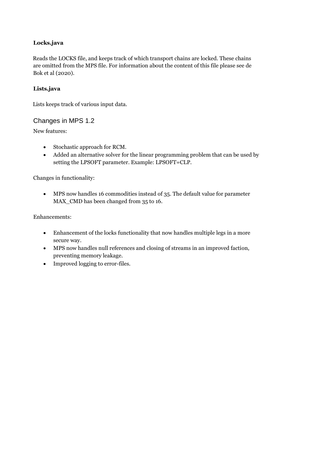#### **Locks.java**

Reads the LOCKS file, and keeps track of which transport chains are locked. These chains are omitted from the MPS file. For information about the content of this file please see de Bok et al (2020).

#### **Lists.java**

Lists keeps track of various input data.

#### <span id="page-11-0"></span>Changes in MPS 1.2

New features:

- Stochastic approach for RCM.
- Added an alternative solver for the linear programming problem that can be used by setting the LPSOFT parameter. Example: LPSOFT=CLP.

Changes in functionality:

 MPS now handles 16 commodities instead of 35. The default value for parameter MAX\_CMD has been changed from 35 to 16.

Enhancements:

- Enhancement of the locks functionality that now handles multiple legs in a more secure way.
- MPS now handles null references and closing of streams in an improved faction, preventing memory leakage.
- Improved logging to error-files.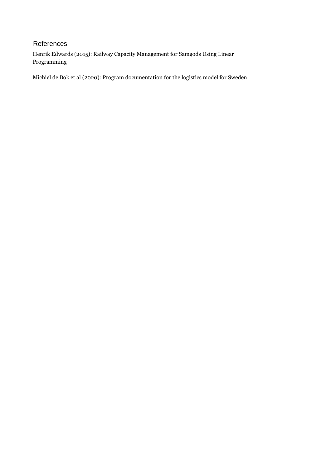# <span id="page-12-0"></span>References

Henrik Edwards (2015): Railway Capacity Management for Samgods Using Linear Programming

Michiel de Bok et al (2020): Program documentation for the logistics model for Sweden